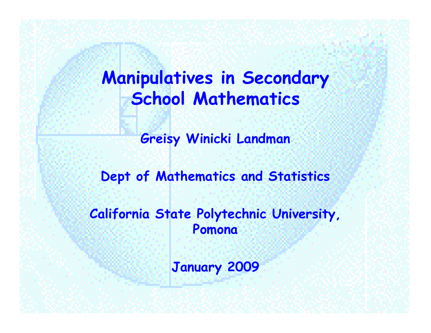## **Manipulatives in Secondary School Mathematics**

**Greisy Winicki Landman**

**Dept of Mathematics and Statistics**

**California State Polytechnic University, Pomona**

**January 2009**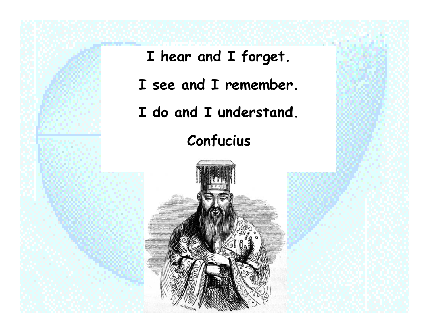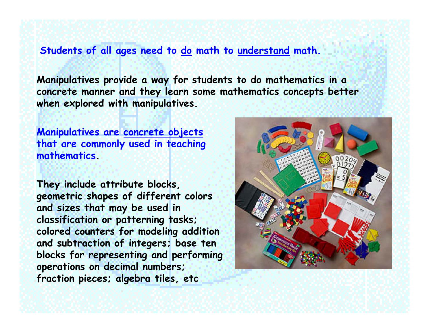#### **Students of all ages need to do math to understand math.**

**Manipulatives provide a way for students to do mathematics in a concrete manner and they learn some mathematics concepts better when explored with manipulatives.** 

**Manipulatives are concrete objects that are commonly used in teaching mathematics.** 

**They include attribute blocks, geometric shapes of different colors and sizes that may be used in classification or patterning tasks; colored counters for modeling addition and subtraction of integers; base ten blocks for representing and performing operations on decimal numbers; fraction pieces; algebra tiles, etc** 

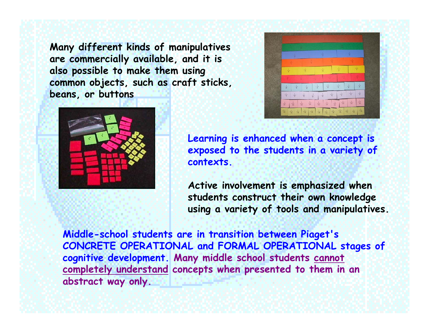**Many different kinds of manipulatives are commercially available, and it is also possible to make them using common objects, such as craft sticks, beans, or buttons** 





**Learning is enhanced when a concept is exposed to the students in a variety of contexts.**

**Active involvement is emphasized when students construct their own knowledge using a variety of tools and manipulatives.** 

**Middle-school students are in transition between Piaget's CONCRETE OPERATIONAL and FORMAL OPERATIONAL stages of cognitive development. Many middle school students cannot completely understand concepts when presented to them in an abstract way only.**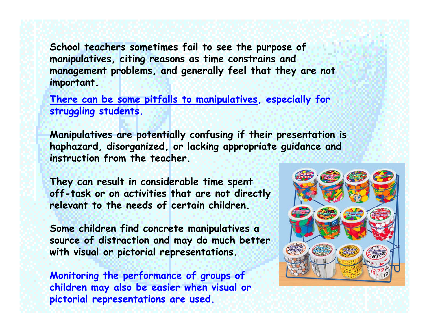**School teachers sometimes fail to see the purpose of manipulatives, citing reasons as time constrains and management problems, and generally feel that they are not important.**

**There can be some pitfalls to manipulatives, especially for struggling students.**

**Manipulatives are potentially confusing if their presentation is haphazard, disorganized, or lacking appropriate guidance and instruction from the teacher.**

**They can result in considerable time spent off-task or on activities that are not directly relevant to the needs of certain children.** 

**Some children find concrete manipulatives <sup>a</sup> source of distraction and may do much better with visual or pictorial representations.** 

**Monitoring the performance of groups of children may also be easier when visual or pictorial representations are used.**

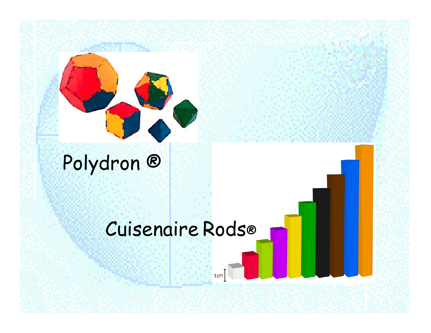

# Polydron ®

## Cuisenaire Rods®

1cm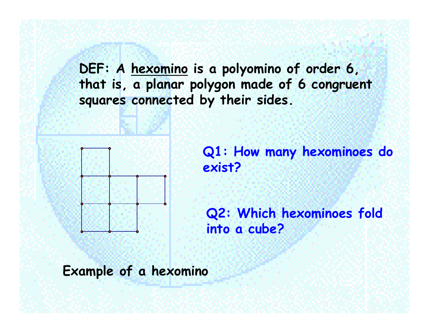**DEF: A hexomino is a polyomino of order 6, that is, a planar polygon made of 6 congruent squares connected by their sides.**



**Q1: How many hexominoes do exist?**

**Q2: Which hexominoes fold into a cube?**

**Example of a hexomino**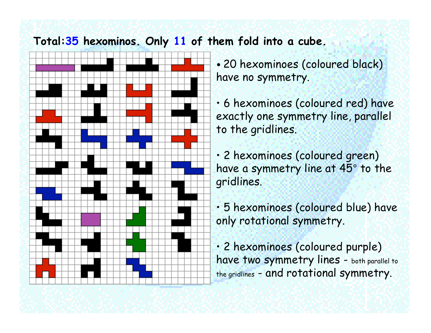### **Total:35 hexominos. Only 11 of them fold into a cube.**



• 20 hexominoes (coloured black) have no symmetry.

- 6 hexominoes (coloured red) have exactly one symmetry line, parallel to the gridlines.
- 2 hexominoes (coloured green) have a symmetry line at 45° to the gridlines.
- 5 hexominoes (coloured blue) have only rotational symmetry.

• 2 hexominoes (coloured purple) have two symmetry lines - both parallel to the gridlines - and rotational symmetry.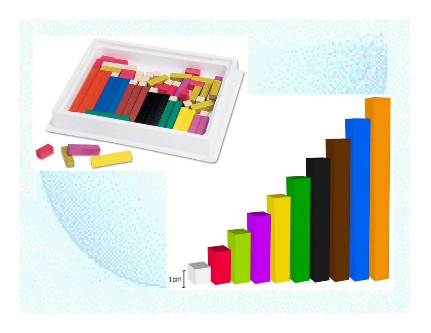